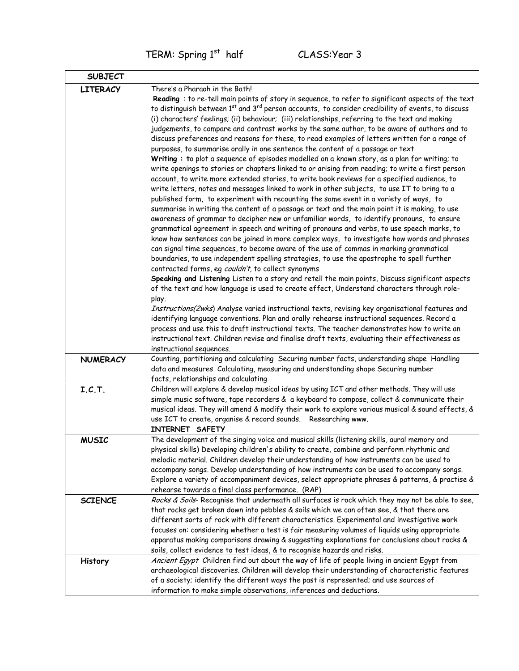TERM: Spring 1<sup>st</sup> half CLASS: Year 3

| <b>SUBJECT</b>  |                                                                                                                                                                                                                                                                                                                                                                                                                                                                                                                                                                                                                                                                                                                                                                                                                                                                                                                                                                                                                                                                                                                                                                                                                                                                                                                                                                                                                                                                                                                                                                                                                                                                                                                                                                                                                                                                                                                                                                                                                                                                                                                                                                                                                                                                                                                                                                                                                 |
|-----------------|-----------------------------------------------------------------------------------------------------------------------------------------------------------------------------------------------------------------------------------------------------------------------------------------------------------------------------------------------------------------------------------------------------------------------------------------------------------------------------------------------------------------------------------------------------------------------------------------------------------------------------------------------------------------------------------------------------------------------------------------------------------------------------------------------------------------------------------------------------------------------------------------------------------------------------------------------------------------------------------------------------------------------------------------------------------------------------------------------------------------------------------------------------------------------------------------------------------------------------------------------------------------------------------------------------------------------------------------------------------------------------------------------------------------------------------------------------------------------------------------------------------------------------------------------------------------------------------------------------------------------------------------------------------------------------------------------------------------------------------------------------------------------------------------------------------------------------------------------------------------------------------------------------------------------------------------------------------------------------------------------------------------------------------------------------------------------------------------------------------------------------------------------------------------------------------------------------------------------------------------------------------------------------------------------------------------------------------------------------------------------------------------------------------------|
| <b>LITERACY</b> | There's a Pharaoh in the Bath!<br>Reading : to re-tell main points of story in sequence, to refer to significant aspects of the text<br>to distinguish between 1st and 3rd person accounts, to consider credibility of events, to discuss<br>(i) characters' feelings; (ii) behaviour; (iii) relationships, referring to the text and making<br>judgements, to compare and contrast works by the same author, to be aware of authors and to<br>discuss preferences and reasons for these, to read examples of letters written for a range of<br>purposes, to summarise orally in one sentence the content of a passage or text<br>Writing : to plot a sequence of episodes modelled on a known story, as a plan for writing; to<br>write openings to stories or chapters linked to or arising from reading; to write a first person<br>account, to write more extended stories, to write book reviews for a specified audience, to<br>write letters, notes and messages linked to work in other subjects, to use IT to bring to a<br>published form, to experiment with recounting the same event in a variety of ways, to<br>summarise in writing the content of a passage or text and the main point it is making, to use<br>awareness of grammar to decipher new or unfamiliar words, to identify pronouns, to ensure<br>grammatical agreement in speech and writing of pronouns and verbs, to use speech marks, to<br>know how sentences can be joined in more complex ways, to investigate how words and phrases<br>can signal time sequences, to become aware of the use of commas in marking grammatical<br>boundaries, to use independent spelling strategies, to use the apostrophe to spell further<br>contracted forms, eg couldn't, to collect synonyms<br>Speaking and Listening Listen to a story and retell the main points, Discuss significant aspects<br>of the text and how language is used to create effect, Understand characters through role-<br>play.<br>Instructions(2wks) Analyse varied instructional texts, revising key organisational features and<br>identifying language conventions. Plan and orally rehearse instructional sequences. Record a<br>process and use this to draft instructional texts. The teacher demonstrates how to write an<br>instructional text. Children revise and finalise draft texts, evaluating their effectiveness as<br>instructional sequences. |
| <b>NUMERACY</b> | Counting, partitioning and calculating Securing number facts, understanding shape Handling<br>data and measures Calculating, measuring and understanding shape Securing number                                                                                                                                                                                                                                                                                                                                                                                                                                                                                                                                                                                                                                                                                                                                                                                                                                                                                                                                                                                                                                                                                                                                                                                                                                                                                                                                                                                                                                                                                                                                                                                                                                                                                                                                                                                                                                                                                                                                                                                                                                                                                                                                                                                                                                  |
|                 | facts, relationships and calculating                                                                                                                                                                                                                                                                                                                                                                                                                                                                                                                                                                                                                                                                                                                                                                                                                                                                                                                                                                                                                                                                                                                                                                                                                                                                                                                                                                                                                                                                                                                                                                                                                                                                                                                                                                                                                                                                                                                                                                                                                                                                                                                                                                                                                                                                                                                                                                            |
| I.C.T.          | Children will explore & develop musical ideas by using ICT and other methods. They will use<br>simple music software, tape recorders & a keyboard to compose, collect & communicate their<br>musical ideas. They will amend & modify their work to explore various musical & sound effects, &<br>use ICT to create, organise & record sounds. Researching www.<br>INTERNET SAFETY                                                                                                                                                                                                                                                                                                                                                                                                                                                                                                                                                                                                                                                                                                                                                                                                                                                                                                                                                                                                                                                                                                                                                                                                                                                                                                                                                                                                                                                                                                                                                                                                                                                                                                                                                                                                                                                                                                                                                                                                                               |
| <b>MUSIC</b>    | The development of the singing voice and musical skills (listening skills, aural memory and<br>physical skills) Developing children's ability to create, combine and perform rhythmic and<br>melodic material. Children develop their understanding of how instruments can be used to<br>accompany songs. Develop understanding of how instruments can be used to accompany songs.<br>Explore a variety of accompaniment devices, select appropriate phrases & patterns, & practise &<br>rehearse towards a final class performance. (RAP)                                                                                                                                                                                                                                                                                                                                                                                                                                                                                                                                                                                                                                                                                                                                                                                                                                                                                                                                                                                                                                                                                                                                                                                                                                                                                                                                                                                                                                                                                                                                                                                                                                                                                                                                                                                                                                                                      |
| <b>SCIENCE</b>  | Rocks & Soils-Recognise that underneath all surfaces is rock which they may not be able to see,<br>that rocks get broken down into pebbles & soils which we can often see, & that there are<br>different sorts of rock with different characteristics. Experimental and investigative work<br>focuses on: considering whether a test is fair measuring volumes of liquids using appropriate<br>apparatus making comparisons drawing & suggesting explanations for conclusions about rocks &<br>soils, collect evidence to test ideas, & to recognise hazards and risks.                                                                                                                                                                                                                                                                                                                                                                                                                                                                                                                                                                                                                                                                                                                                                                                                                                                                                                                                                                                                                                                                                                                                                                                                                                                                                                                                                                                                                                                                                                                                                                                                                                                                                                                                                                                                                                         |
| <b>History</b>  | Ancient Egypt Children find out about the way of life of people living in ancient Egypt from<br>archaeological discoveries. Children will develop their understanding of characteristic features<br>of a society; identify the different ways the past is represented; and use sources of<br>information to make simple observations, inferences and deductions.                                                                                                                                                                                                                                                                                                                                                                                                                                                                                                                                                                                                                                                                                                                                                                                                                                                                                                                                                                                                                                                                                                                                                                                                                                                                                                                                                                                                                                                                                                                                                                                                                                                                                                                                                                                                                                                                                                                                                                                                                                                |